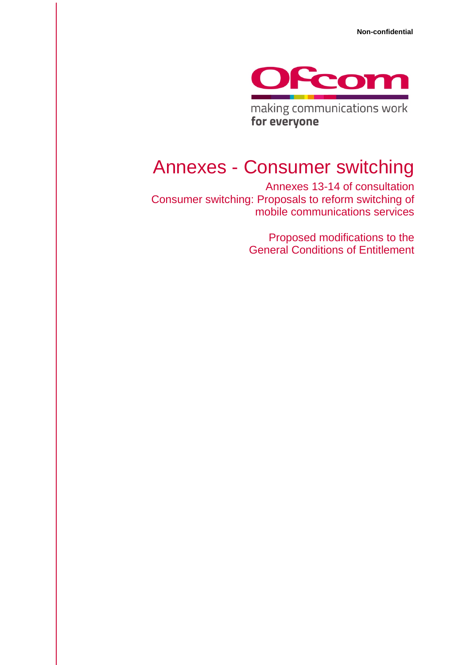

making communications work for everyone

# Annexes - Consumer switching

Annexes 13-14 of consultation Consumer switching: Proposals to reform switching of mobile communications services

> Proposed modifications to the General Conditions of Entitlement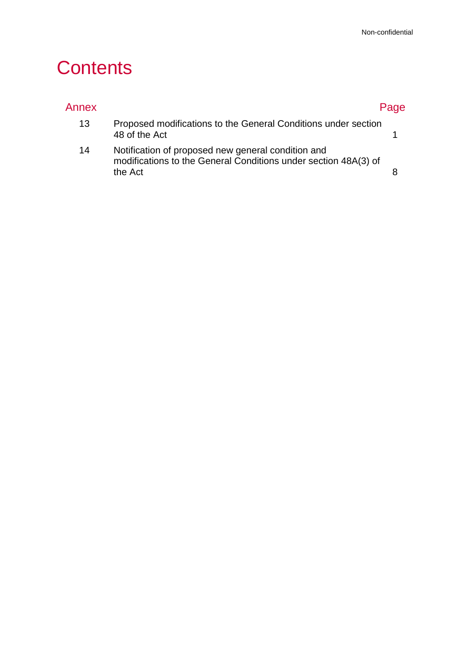# **Contents**

| Annex |                                                                                                                                  | Page |
|-------|----------------------------------------------------------------------------------------------------------------------------------|------|
| 13    | Proposed modifications to the General Conditions under section<br>48 of the Act                                                  |      |
| 14    | Notification of proposed new general condition and<br>modifications to the General Conditions under section 48A(3) of<br>the Act |      |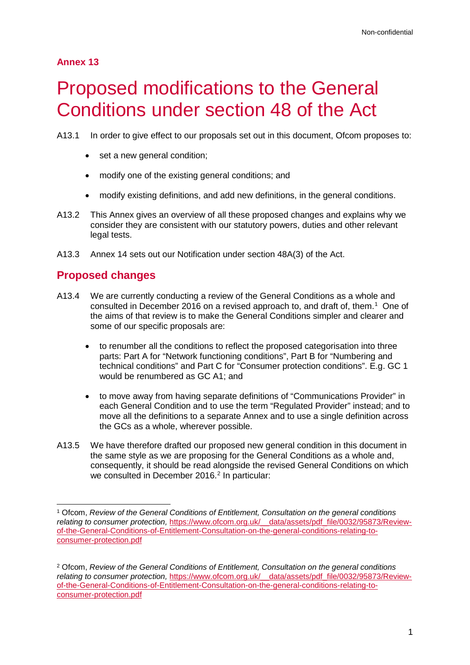### **Annex 13**

# <span id="page-2-0"></span>**Proposed modifications to the General** Conditions under section 48 of the Act

A13.1 In order to give effect to our proposals set out in this document, Ofcom proposes to:

- set a new general condition:
- modify one of the existing general conditions; and
- modify existing definitions, and add new definitions, in the general conditions.
- A13.2 This Annex gives an overview of all these proposed changes and explains why we consider they are consistent with our statutory powers, duties and other relevant legal tests.
- A13.3 Annex 14 sets out our Notification under section 48A(3) of the Act.

## **Proposed changes**

- A13.4 We are currently conducting a review of the General Conditions as a whole and consulted in December 20[1](#page-2-1)6 on a revised approach to, and draft of, them.<sup>1</sup> One of the aims of that review is to make the General Conditions simpler and clearer and some of our specific proposals are:
	- to renumber all the conditions to reflect the proposed categorisation into three parts: Part A for "Network functioning conditions", Part B for "Numbering and technical conditions" and Part C for "Consumer protection conditions". E.g. GC 1 would be renumbered as GC A1; and
	- to move away from having separate definitions of "Communications Provider" in each General Condition and to use the term "Regulated Provider" instead; and to move all the definitions to a separate Annex and to use a single definition across the GCs as a whole, wherever possible.
- A13.5 We have therefore drafted our proposed new general condition in this document in the same style as we are proposing for the General Conditions as a whole and, consequently, it should be read alongside the revised General Conditions on which we consulted in December [2](#page-2-2)016.<sup>2</sup> In particular:

<span id="page-2-1"></span> <sup>1</sup> Ofcom, *Review of the General Conditions of Entitlement, Consultation on the general conditions*  relating to consumer protection, https://www.ofcom.org.uk/ data/assets/pdf file/0032/95873/Review[of-the-General-Conditions-of-Entitlement-Consultation-on-the-general-conditions-relating-to](https://www.ofcom.org.uk/__data/assets/pdf_file/0032/95873/Review-of-the-General-Conditions-of-Entitlement-Consultation-on-the-general-conditions-relating-to-consumer-protection.pdf)[consumer-protection.pdf](https://www.ofcom.org.uk/__data/assets/pdf_file/0032/95873/Review-of-the-General-Conditions-of-Entitlement-Consultation-on-the-general-conditions-relating-to-consumer-protection.pdf)

<span id="page-2-2"></span><sup>2</sup> Ofcom, *Review of the General Conditions of Entitlement, Consultation on the general conditions relating to consumer protection,* [https://www.ofcom.org.uk/\\_\\_data/assets/pdf\\_file/0032/95873/Review](https://www.ofcom.org.uk/__data/assets/pdf_file/0032/95873/Review-of-the-General-Conditions-of-Entitlement-Consultation-on-the-general-conditions-relating-to-consumer-protection.pdf)[of-the-General-Conditions-of-Entitlement-Consultation-on-the-general-conditions-relating-to](https://www.ofcom.org.uk/__data/assets/pdf_file/0032/95873/Review-of-the-General-Conditions-of-Entitlement-Consultation-on-the-general-conditions-relating-to-consumer-protection.pdf)[consumer-protection.pdf](https://www.ofcom.org.uk/__data/assets/pdf_file/0032/95873/Review-of-the-General-Conditions-of-Entitlement-Consultation-on-the-general-conditions-relating-to-consumer-protection.pdf)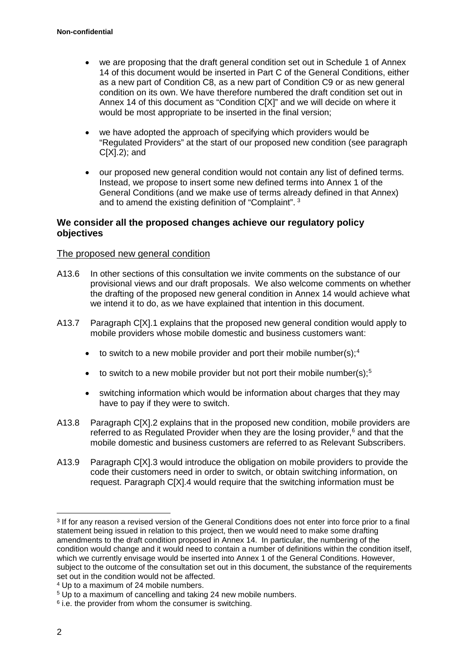- we are proposing that the draft general condition set out in Schedule 1 of Annex 14 of this document would be inserted in Part C of the General Conditions, either as a new part of Condition C8, as a new part of Condition C9 or as new general condition on its own. We have therefore numbered the draft condition set out in Annex 14 of this document as "Condition C[X]" and we will decide on where it would be most appropriate to be inserted in the final version;
- we have adopted the approach of specifying which providers would be "Regulated Providers" at the start of our proposed new condition (see paragraph C[X].2); and
- our proposed new general condition would not contain any list of defined terms. Instead, we propose to insert some new defined terms into Annex 1 of the General Conditions (and we make use of terms already defined in that Annex) and to amend the existing definition of "Complaint". [3](#page-3-0)

### **We consider all the proposed changes achieve our regulatory policy objectives**

#### The proposed new general condition

- A13.6 In other sections of this consultation we invite comments on the substance of our provisional views and our draft proposals. We also welcome comments on whether the drafting of the proposed new general condition in Annex 14 would achieve what we intend it to do, as we have explained that intention in this document.
- A13.7 Paragraph C[X].1 explains that the proposed new general condition would apply to mobile providers whose mobile domestic and business customers want:
	- to switch to a new mobile provider and port their mobile number(s):  $4$
	- to switch to a new mobile provider but not port their mobile number(s); $5$
	- switching information which would be information about charges that they may have to pay if they were to switch.
- A13.8 Paragraph C[X].2 explains that in the proposed new condition, mobile providers are referred to as Regulated Provider when they are the losing provider,<sup>[6](#page-3-3)</sup> and that the mobile domestic and business customers are referred to as Relevant Subscribers.
- A13.9 Paragraph C[X].3 would introduce the obligation on mobile providers to provide the code their customers need in order to switch, or obtain switching information, on request. Paragraph C[X].4 would require that the switching information must be

<span id="page-3-0"></span> <sup>3</sup> If for any reason a revised version of the General Conditions does not enter into force prior to a final statement being issued in relation to this project, then we would need to make some drafting amendments to the draft condition proposed in Annex 14. In particular, the numbering of the condition would change and it would need to contain a number of definitions within the condition itself, which we currently envisage would be inserted into Annex 1 of the General Conditions. However, subject to the outcome of the consultation set out in this document, the substance of the requirements set out in the condition would not be affected.

<span id="page-3-1"></span><sup>4</sup> Up to a maximum of 24 mobile numbers.

<span id="page-3-2"></span><sup>&</sup>lt;sup>5</sup> Up to a maximum of cancelling and taking 24 new mobile numbers.

<span id="page-3-3"></span> $6$  i.e. the provider from whom the consumer is switching.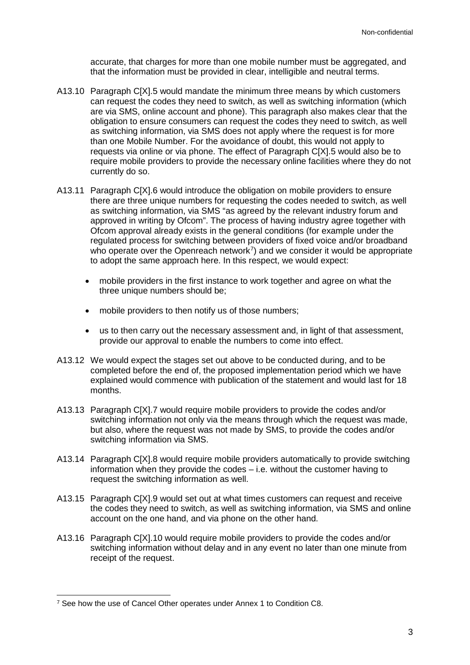accurate, that charges for more than one mobile number must be aggregated, and that the information must be provided in clear, intelligible and neutral terms.

- A13.10 Paragraph C[X].5 would mandate the minimum three means by which customers can request the codes they need to switch, as well as switching information (which are via SMS, online account and phone). This paragraph also makes clear that the obligation to ensure consumers can request the codes they need to switch, as well as switching information, via SMS does not apply where the request is for more than one Mobile Number. For the avoidance of doubt, this would not apply to requests via online or via phone. The effect of Paragraph C[X].5 would also be to require mobile providers to provide the necessary online facilities where they do not currently do so.
- A13.11 Paragraph C[X].6 would introduce the obligation on mobile providers to ensure there are three unique numbers for requesting the codes needed to switch, as well as switching information, via SMS "as agreed by the relevant industry forum and approved in writing by Ofcom". The process of having industry agree together with Ofcom approval already exists in the general conditions (for example under the regulated process for switching between providers of fixed voice and/or broadband who operate over the Openreach network $\vec{a}$ ) and we consider it would be appropriate to adopt the same approach here. In this respect, we would expect:
	- mobile providers in the first instance to work together and agree on what the three unique numbers should be;
	- mobile providers to then notify us of those numbers;
	- us to then carry out the necessary assessment and, in light of that assessment, provide our approval to enable the numbers to come into effect.
- A13.12 We would expect the stages set out above to be conducted during, and to be completed before the end of, the proposed implementation period which we have explained would commence with publication of the statement and would last for 18 months.
- A13.13 Paragraph C[X].7 would require mobile providers to provide the codes and/or switching information not only via the means through which the request was made, but also, where the request was not made by SMS, to provide the codes and/or switching information via SMS.
- A13.14 Paragraph C[X].8 would require mobile providers automatically to provide switching information when they provide the codes – i.e. without the customer having to request the switching information as well.
- A13.15 Paragraph C[X].9 would set out at what times customers can request and receive the codes they need to switch, as well as switching information, via SMS and online account on the one hand, and via phone on the other hand.
- A13.16 Paragraph C[X].10 would require mobile providers to provide the codes and/or switching information without delay and in any event no later than one minute from receipt of the request.

<span id="page-4-0"></span><sup>&</sup>lt;sup>7</sup> See how the use of Cancel Other operates under Annex 1 to Condition C8.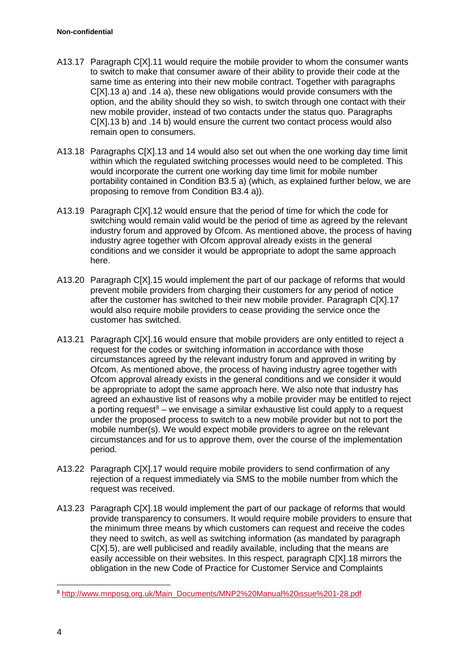- A13.17 Paragraph C[X].11 would require the mobile provider to whom the consumer wants to switch to make that consumer aware of their ability to provide their code at the same time as entering into their new mobile contract. Together with paragraphs C[X].13 a) and .14 a), these new obligations would provide consumers with the option, and the ability should they so wish, to switch through one contact with their new mobile provider, instead of two contacts under the status quo. Paragraphs C[X].13 b) and .14 b) would ensure the current two contact process would also remain open to consumers.
- A13.18 Paragraphs C[X].13 and 14 would also set out when the one working day time limit within which the regulated switching processes would need to be completed. This would incorporate the current one working day time limit for mobile number portability contained in Condition B3.5 a) (which, as explained further below, we are proposing to remove from Condition B3.4 a)).
- A13.19 Paragraph C[X].12 would ensure that the period of time for which the code for switching would remain valid would be the period of time as agreed by the relevant industry forum and approved by Ofcom. As mentioned above, the process of having industry agree together with Ofcom approval already exists in the general conditions and we consider it would be appropriate to adopt the same approach here.
- A13.20 Paragraph C[X].15 would implement the part of our package of reforms that would prevent mobile providers from charging their customers for any period of notice after the customer has switched to their new mobile provider. Paragraph C[X].17 would also require mobile providers to cease providing the service once the customer has switched.
- A13.21 Paragraph C[X].16 would ensure that mobile providers are only entitled to reject a request for the codes or switching information in accordance with those circumstances agreed by the relevant industry forum and approved in writing by Ofcom. As mentioned above, the process of having industry agree together with Ofcom approval already exists in the general conditions and we consider it would be appropriate to adopt the same approach here. We also note that industry has agreed an exhaustive list of reasons why a mobile provider may be entitled to reject a porting request<sup>[8](#page-5-0)</sup> – we envisage a similar exhaustive list could apply to a request under the proposed process to switch to a new mobile provider but not to port the mobile number(s). We would expect mobile providers to agree on the relevant circumstances and for us to approve them, over the course of the implementation period.
- A13.22 Paragraph C[X].17 would require mobile providers to send confirmation of any rejection of a request immediately via SMS to the mobile number from which the request was received.
- A13.23 Paragraph C[X].18 would implement the part of our package of reforms that would provide transparency to consumers. It would require mobile providers to ensure that the minimum three means by which customers can request and receive the codes they need to switch, as well as switching information (as mandated by paragraph C[X].5), are well publicised and readily available, including that the means are easily accessible on their websites. In this respect, paragraph C[X].18 mirrors the obligation in the new Code of Practice for Customer Service and Complaints

<span id="page-5-0"></span> <sup>8</sup> [http://www.mnposg.org.uk/Main\\_Documents/MNP2%20Manual%20issue%201-28.pdf](http://www.mnposg.org.uk/Main_Documents/MNP2%20Manual%20issue%201-28.pdf)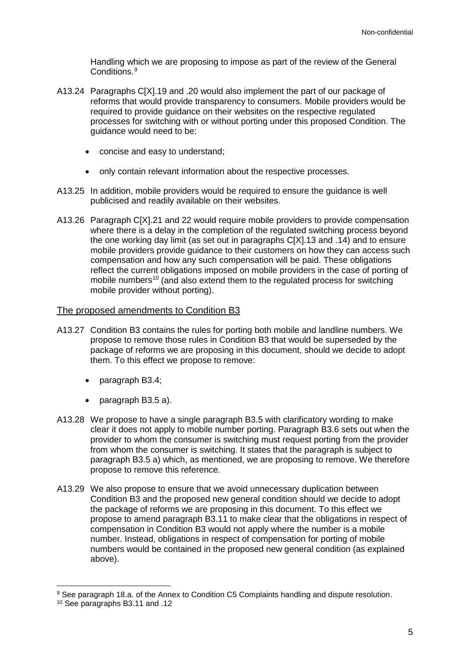Handling which we are proposing to impose as part of the review of the General Conditions.<sup>[9](#page-6-0)</sup>

- A13.24 Paragraphs CIX1.19 and .20 would also implement the part of our package of reforms that would provide transparency to consumers. Mobile providers would be required to provide guidance on their websites on the respective regulated processes for switching with or without porting under this proposed Condition. The guidance would need to be:
	- concise and easy to understand;
	- only contain relevant information about the respective processes.
- A13.25 In addition, mobile providers would be required to ensure the guidance is well publicised and readily available on their websites.
- A13.26 Paragraph C[X].21 and 22 would require mobile providers to provide compensation where there is a delay in the completion of the regulated switching process beyond the one working day limit (as set out in paragraphs C[X].13 and .14) and to ensure mobile providers provide guidance to their customers on how they can access such compensation and how any such compensation will be paid. These obligations reflect the current obligations imposed on mobile providers in the case of porting of mobile numbers<sup>[10](#page-6-1)</sup> (and also extend them to the regulated process for switching mobile provider without porting).

#### The proposed amendments to Condition B3

- A13.27 Condition B3 contains the rules for porting both mobile and landline numbers. We propose to remove those rules in Condition B3 that would be superseded by the package of reforms we are proposing in this document, should we decide to adopt them. To this effect we propose to remove:
	- paragraph B3.4;
	- paragraph B3.5 a).
- A13.28 We propose to have a single paragraph B3.5 with clarificatory wording to make clear it does not apply to mobile number porting. Paragraph B3.6 sets out when the provider to whom the consumer is switching must request porting from the provider from whom the consumer is switching. It states that the paragraph is subject to paragraph B3.5 a) which, as mentioned, we are proposing to remove. We therefore propose to remove this reference.
- A13.29 We also propose to ensure that we avoid unnecessary duplication between Condition B3 and the proposed new general condition should we decide to adopt the package of reforms we are proposing in this document. To this effect we propose to amend paragraph B3.11 to make clear that the obligations in respect of compensation in Condition B3 would not apply where the number is a mobile number. Instead, obligations in respect of compensation for porting of mobile numbers would be contained in the proposed new general condition (as explained above).

<span id="page-6-0"></span><sup>9</sup> See paragraph 18.a. of the Annex to Condition C5 Complaints handling and dispute resolution.

<span id="page-6-1"></span><sup>10</sup> See paragraphs B3.11 and .12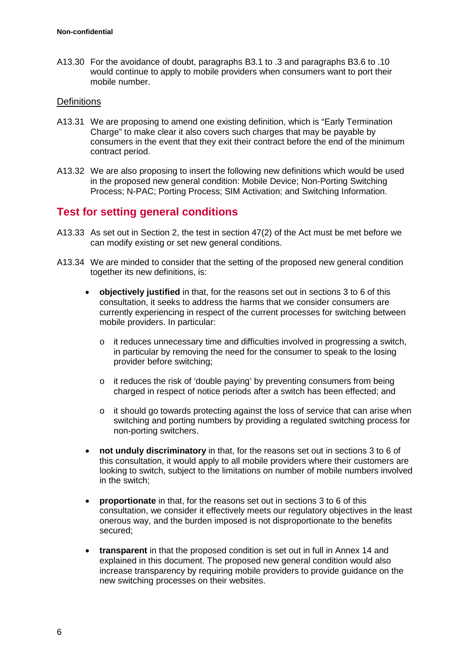A13.30 For the avoidance of doubt, paragraphs B3.1 to .3 and paragraphs B3.6 to .10 would continue to apply to mobile providers when consumers want to port their mobile number.

#### **Definitions**

- A13.31 We are proposing to amend one existing definition, which is "Early Termination Charge" to make clear it also covers such charges that may be payable by consumers in the event that they exit their contract before the end of the minimum contract period.
- A13.32 We are also proposing to insert the following new definitions which would be used in the proposed new general condition: Mobile Device; Non-Porting Switching Process; N-PAC; Porting Process; SIM Activation; and Switching Information.

## **Test for setting general conditions**

- A13.33 As set out in Section 2, the test in section 47(2) of the Act must be met before we can modify existing or set new general conditions.
- A13.34 We are minded to consider that the setting of the proposed new general condition together its new definitions, is:
	- **objectively justified** in that, for the reasons set out in sections 3 to 6 of this consultation, it seeks to address the harms that we consider consumers are currently experiencing in respect of the current processes for switching between mobile providers. In particular:
		- $\circ$  it reduces unnecessary time and difficulties involved in progressing a switch, in particular by removing the need for the consumer to speak to the losing provider before switching;
		- o it reduces the risk of 'double paying' by preventing consumers from being charged in respect of notice periods after a switch has been effected; and
		- o it should go towards protecting against the loss of service that can arise when switching and porting numbers by providing a regulated switching process for non-porting switchers.
	- **not unduly discriminatory** in that, for the reasons set out in sections 3 to 6 of this consultation, it would apply to all mobile providers where their customers are looking to switch, subject to the limitations on number of mobile numbers involved in the switch;
	- **proportionate** in that, for the reasons set out in sections 3 to 6 of this consultation, we consider it effectively meets our regulatory objectives in the least onerous way, and the burden imposed is not disproportionate to the benefits secured;
	- **transparent** in that the proposed condition is set out in full in Annex 14 and explained in this document. The proposed new general condition would also increase transparency by requiring mobile providers to provide guidance on the new switching processes on their websites.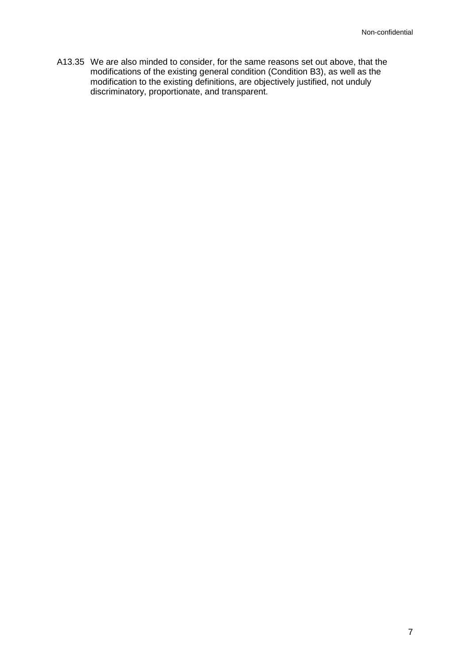A13.35 We are also minded to consider, for the same reasons set out above, that the modifications of the existing general condition (Condition B3), as well as the modification to the existing definitions, are objectively justified, not unduly discriminatory, proportionate, and transparent.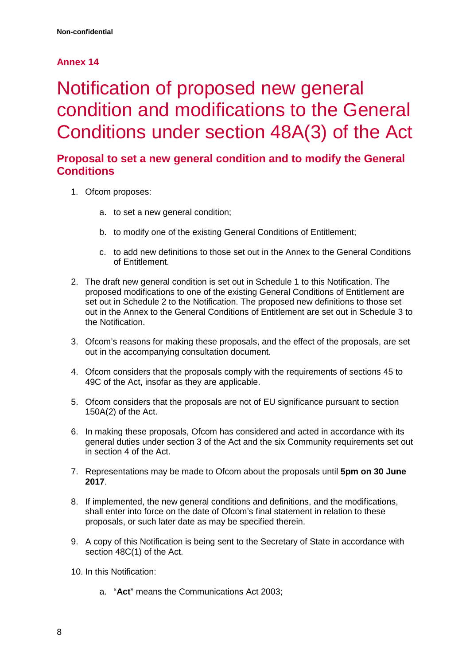## **Annex 14**

# <span id="page-9-0"></span>Notification of proposed new general condition and modifications to the General Conditions under section 48A(3) of the Act

## **Proposal to set a new general condition and to modify the General Conditions**

- 1. Ofcom proposes:
	- a. to set a new general condition;
	- b. to modify one of the existing General Conditions of Entitlement;
	- c. to add new definitions to those set out in the Annex to the General Conditions of Entitlement.
- 2. The draft new general condition is set out in Schedule 1 to this Notification. The proposed modifications to one of the existing General Conditions of Entitlement are set out in Schedule 2 to the Notification. The proposed new definitions to those set out in the Annex to the General Conditions of Entitlement are set out in Schedule 3 to the Notification.
- 3. Ofcom's reasons for making these proposals, and the effect of the proposals, are set out in the accompanying consultation document.
- 4. Ofcom considers that the proposals comply with the requirements of sections 45 to 49C of the Act, insofar as they are applicable.
- 5. Ofcom considers that the proposals are not of EU significance pursuant to section 150A(2) of the Act.
- 6. In making these proposals, Ofcom has considered and acted in accordance with its general duties under section 3 of the Act and the six Community requirements set out in section 4 of the Act.
- 7. Representations may be made to Ofcom about the proposals until **5pm on 30 June 2017**.
- 8. If implemented, the new general conditions and definitions, and the modifications, shall enter into force on the date of Ofcom's final statement in relation to these proposals, or such later date as may be specified therein.
- 9. A copy of this Notification is being sent to the Secretary of State in accordance with section 48C(1) of the Act.
- 10. In this Notification:
	- a. "**Act**" means the Communications Act 2003;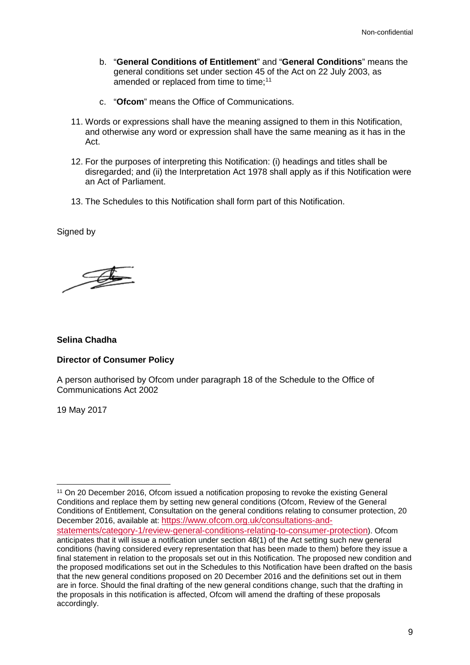- b. "**General Conditions of Entitlement**" and "**General Conditions**" means the general conditions set under section 45 of the Act on 22 July 2003, as amended or replaced from time to time;<sup>11</sup>
- c. "**Ofcom**" means the Office of Communications.
- 11. Words or expressions shall have the meaning assigned to them in this Notification, and otherwise any word or expression shall have the same meaning as it has in the Act.
- 12. For the purposes of interpreting this Notification: (i) headings and titles shall be disregarded; and (ii) the Interpretation Act 1978 shall apply as if this Notification were an Act of Parliament.
- 13. The Schedules to this Notification shall form part of this Notification.

Signed by

I

#### **Selina Chadha**

#### **Director of Consumer Policy**

A person authorised by Ofcom under paragraph 18 of the Schedule to the Office of Communications Act 2002

19 May 2017

<span id="page-10-0"></span> <sup>11</sup> On 20 December 2016, Ofcom issued a notification proposing to revoke the existing General Conditions and replace them by setting new general conditions (Ofcom, Review of the General Conditions of Entitlement, Consultation on the general conditions relating to consumer protection, 20 December 2016, available at: [https://www.ofcom.org.uk/consultations-and](https://www.ofcom.org.uk/consultations-and-statements/category-1/review-general-conditions-relating-to-consumer-protection)[statements/category-1/review-general-conditions-relating-to-consumer-protection\)](https://www.ofcom.org.uk/consultations-and-statements/category-1/review-general-conditions-relating-to-consumer-protection). Ofcom anticipates that it will issue a notification under section 48(1) of the Act setting such new general conditions (having considered every representation that has been made to them) before they issue a final statement in relation to the proposals set out in this Notification. The proposed new condition and the proposed modifications set out in the Schedules to this Notification have been drafted on the basis that the new general conditions proposed on 20 December 2016 and the definitions set out in them are in force. Should the final drafting of the new general conditions change, such that the drafting in the proposals in this notification is affected, Ofcom will amend the drafting of these proposals accordingly.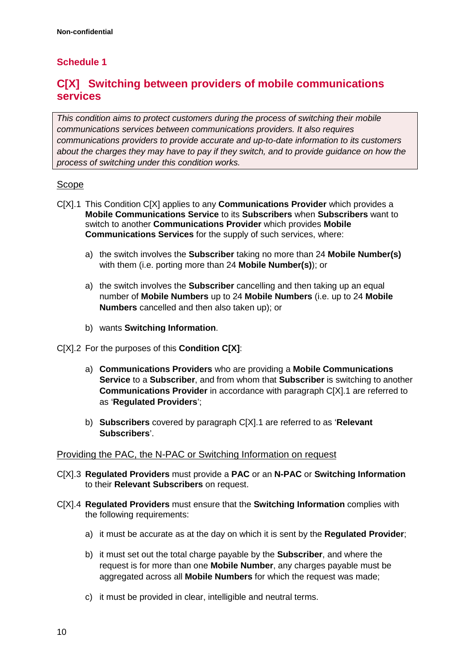## **Schedule 1**

## **C[X] Switching between providers of mobile communications services**

*This condition aims to protect customers during the process of switching their mobile communications services between communications providers. It also requires communications providers to provide accurate and up-to-date information to its customers about the charges they may have to pay if they switch, and to provide guidance on how the process of switching under this condition works.* 

### Scope

- C[X].1 This Condition C[X] applies to any **Communications Provider** which provides a **Mobile Communications Service** to its **Subscribers** when **Subscribers** want to switch to another **Communications Provider** which provides **Mobile Communications Services** for the supply of such services, where:
	- a) the switch involves the **Subscriber** taking no more than 24 **Mobile Number(s)** with them (i.e. porting more than 24 **Mobile Number(s)**); or
	- a) the switch involves the **Subscriber** cancelling and then taking up an equal number of **Mobile Numbers** up to 24 **Mobile Numbers** (i.e. up to 24 **Mobile Numbers** cancelled and then also taken up); or
	- b) wants **Switching Information**.
- C[X].2 For the purposes of this **Condition C[X]**:
	- a) **Communications Providers** who are providing a **Mobile Communications Service** to a **Subscriber**, and from whom that **Subscriber** is switching to another **Communications Provider** in accordance with paragraph C[X].1 are referred to as '**Regulated Providers**';
	- b) **Subscribers** covered by paragraph C[X].1 are referred to as '**Relevant Subscribers**'.

#### Providing the PAC, the N-PAC or Switching Information on request

- C[X].3 **Regulated Providers** must provide a **PAC** or an **N-PAC** or **Switching Information** to their **Relevant Subscribers** on request.
- C[X].4 **Regulated Providers** must ensure that the **Switching Information** complies with the following requirements:
	- a) it must be accurate as at the day on which it is sent by the **Regulated Provider**;
	- b) it must set out the total charge payable by the **Subscriber**, and where the request is for more than one **Mobile Number**, any charges payable must be aggregated across all **Mobile Numbers** for which the request was made;
	- c) it must be provided in clear, intelligible and neutral terms.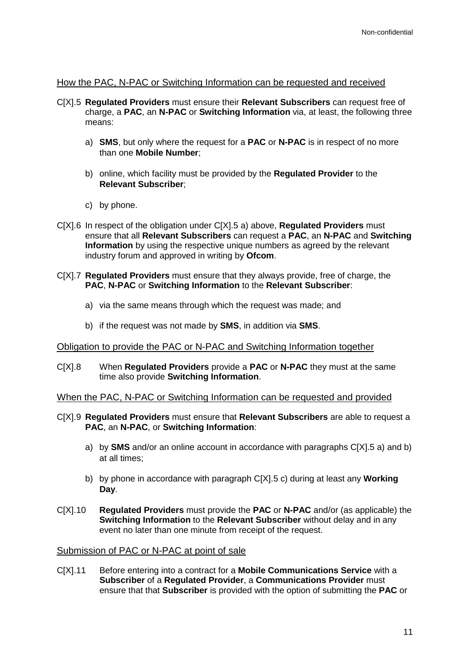#### How the PAC, N-PAC or Switching Information can be requested and received

- C[X].5 **Regulated Providers** must ensure their **Relevant Subscribers** can request free of charge, a **PAC**, an **N-PAC** or **Switching Information** via, at least, the following three means:
	- a) **SMS**, but only where the request for a **PAC** or **N-PAC** is in respect of no more than one **Mobile Number**;
	- b) online, which facility must be provided by the **Regulated Provider** to the **Relevant Subscriber**;
	- c) by phone.
- C[X].6 In respect of the obligation under C[X].5 a) above, **Regulated Providers** must ensure that all **Relevant Subscribers** can request a **PAC**, an **N-PAC** and **Switching Information** by using the respective unique numbers as agreed by the relevant industry forum and approved in writing by **Ofcom**.
- C[X].7 **Regulated Providers** must ensure that they always provide, free of charge, the **PAC**, **N-PAC** or **Switching Information** to the **Relevant Subscriber**:
	- a) via the same means through which the request was made; and
	- b) if the request was not made by **SMS**, in addition via **SMS**.

#### Obligation to provide the PAC or N-PAC and Switching Information together

C[X].8 When **Regulated Providers** provide a **PAC** or **N-PAC** they must at the same time also provide **Switching Information**.

#### When the PAC, N-PAC or Switching Information can be requested and provided

- C[X].9 **Regulated Providers** must ensure that **Relevant Subscribers** are able to request a **PAC**, an **N-PAC**, or **Switching Information**:
	- a) by **SMS** and/or an online account in accordance with paragraphs C[X].5 a) and b) at all times;
	- b) by phone in accordance with paragraph C[X].5 c) during at least any **Working Day**.
- C[X].10 **Regulated Providers** must provide the **PAC** or **N-PAC** and/or (as applicable) the **Switching Information** to the **Relevant Subscriber** without delay and in any event no later than one minute from receipt of the request.

#### Submission of PAC or N-PAC at point of sale

C[X].11 Before entering into a contract for a **Mobile Communications Service** with a **Subscriber** of a **Regulated Provider**, a **Communications Provider** must ensure that that **Subscriber** is provided with the option of submitting the **PAC** or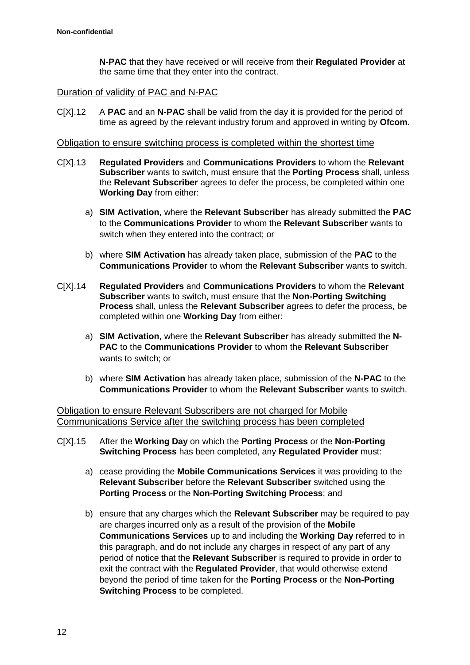**N-PAC** that they have received or will receive from their **Regulated Provider** at the same time that they enter into the contract.

#### Duration of validity of PAC and N-PAC

C[X].12 A **PAC** and an **N-PAC** shall be valid from the day it is provided for the period of time as agreed by the relevant industry forum and approved in writing by **Ofcom**.

#### Obligation to ensure switching process is completed within the shortest time

- C[X].13 **Regulated Providers** and **Communications Providers** to whom the **Relevant Subscriber** wants to switch, must ensure that the **Porting Process** shall, unless the **Relevant Subscriber** agrees to defer the process, be completed within one **Working Day** from either:
	- a) **SIM Activation**, where the **Relevant Subscriber** has already submitted the **PAC** to the **Communications Provider** to whom the **Relevant Subscriber** wants to switch when they entered into the contract; or
	- b) where **SIM Activation** has already taken place, submission of the **PAC** to the **Communications Provider** to whom the **Relevant Subscriber** wants to switch.
- C[X].14 **Regulated Providers** and **Communications Providers** to whom the **Relevant Subscriber** wants to switch, must ensure that the **Non-Porting Switching Process** shall, unless the **Relevant Subscriber** agrees to defer the process, be completed within one **Working Day** from either:
	- a) **SIM Activation**, where the **Relevant Subscriber** has already submitted the **N-PAC** to the **Communications Provider** to whom the **Relevant Subscriber**  wants to switch; or
	- b) where **SIM Activation** has already taken place, submission of the **N-PAC** to the **Communications Provider** to whom the **Relevant Subscriber** wants to switch.

Obligation to ensure Relevant Subscribers are not charged for Mobile Communications Service after the switching process has been completed

- C[X].15 After the **Working Day** on which the **Porting Process** or the **Non-Porting Switching Process** has been completed, any **Regulated Provider** must:
	- a) cease providing the **Mobile Communications Services** it was providing to the **Relevant Subscriber** before the **Relevant Subscriber** switched using the **Porting Process** or the **Non-Porting Switching Process**; and
	- b) ensure that any charges which the **Relevant Subscriber** may be required to pay are charges incurred only as a result of the provision of the **Mobile Communications Services** up to and including the **Working Day** referred to in this paragraph, and do not include any charges in respect of any part of any period of notice that the **Relevant Subscriber** is required to provide in order to exit the contract with the **Regulated Provider**, that would otherwise extend beyond the period of time taken for the **Porting Process** or the **Non-Porting Switching Process** to be completed.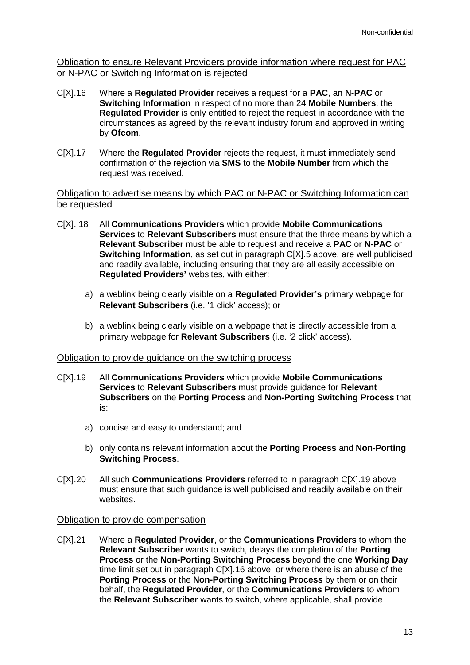Obligation to ensure Relevant Providers provide information where request for PAC or N-PAC or Switching Information is rejected

- C[X].16 Where a **Regulated Provider** receives a request for a **PAC**, an **N-PAC** or **Switching Information** in respect of no more than 24 **Mobile Numbers**, the **Regulated Provider** is only entitled to reject the request in accordance with the circumstances as agreed by the relevant industry forum and approved in writing by **Ofcom**.
- C[X].17 Where the **Regulated Provider** rejects the request, it must immediately send confirmation of the rejection via **SMS** to the **Mobile Number** from which the request was received.

#### Obligation to advertise means by which PAC or N-PAC or Switching Information can be requested

- C[X]. 18 All **Communications Providers** which provide **Mobile Communications Services** to **Relevant Subscribers** must ensure that the three means by which a **Relevant Subscriber** must be able to request and receive a **PAC** or **N-PAC** or **Switching Information**, as set out in paragraph C[X].5 above, are well publicised and readily available, including ensuring that they are all easily accessible on **Regulated Providers'** websites, with either:
	- a) a weblink being clearly visible on a **Regulated Provider's** primary webpage for **Relevant Subscribers** (i.e. '1 click' access); or
	- b) a weblink being clearly visible on a webpage that is directly accessible from a primary webpage for **Relevant Subscribers** (i.e. '2 click' access).

#### Obligation to provide guidance on the switching process

- C[X].19 All **Communications Providers** which provide **Mobile Communications Services** to **Relevant Subscribers** must provide guidance for **Relevant Subscribers** on the **Porting Process** and **Non-Porting Switching Process** that is:
	- a) concise and easy to understand; and
	- b) only contains relevant information about the **Porting Process** and **Non-Porting Switching Process**.
- C[X].20 All such **Communications Providers** referred to in paragraph C[X].19 above must ensure that such guidance is well publicised and readily available on their websites.

#### Obligation to provide compensation

C[X].21 Where a **Regulated Provider**, or the **Communications Providers** to whom the **Relevant Subscriber** wants to switch, delays the completion of the **Porting Process** or the **Non-Porting Switching Process** beyond the one **Working Day** time limit set out in paragraph C[X].16 above, or where there is an abuse of the **Porting Process** or the **Non-Porting Switching Process** by them or on their behalf, the **Regulated Provider**, or the **Communications Providers** to whom the **Relevant Subscriber** wants to switch, where applicable, shall provide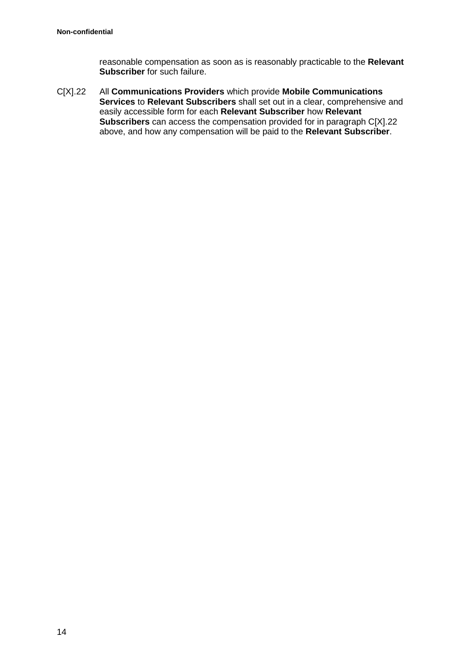reasonable compensation as soon as is reasonably practicable to the **Relevant Subscriber** for such failure.

C[X].22 All **Communications Providers** which provide **Mobile Communications Services** to **Relevant Subscribers** shall set out in a clear, comprehensive and easily accessible form for each **Relevant Subscriber** how **Relevant Subscribers** can access the compensation provided for in paragraph C[X].22 above, and how any compensation will be paid to the **Relevant Subscriber**.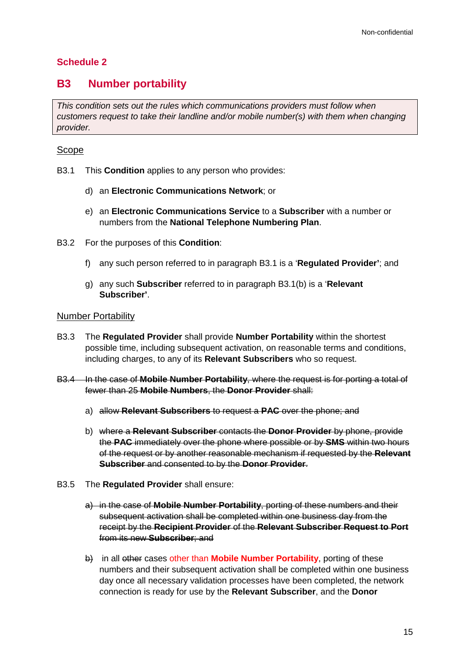## **Schedule 2**

## **B3 Number portability**

*This condition sets out the rules which communications providers must follow when customers request to take their landline and/or mobile number(s) with them when changing provider.* 

### Scope

- B3.1 This **Condition** applies to any person who provides:
	- d) an **Electronic Communications Network**; or
	- e) an **Electronic Communications Service** to a **Subscriber** with a number or numbers from the **National Telephone Numbering Plan**.
- B3.2 For the purposes of this **Condition**:
	- f) any such person referred to in paragraph B3.1 is a '**Regulated Provider'**; and
	- g) any such **Subscriber** referred to in paragraph B3.1(b) is a '**Relevant Subscriber'**.

#### Number Portability

- B3.3 The **Regulated Provider** shall provide **Number Portability** within the shortest possible time, including subsequent activation, on reasonable terms and conditions, including charges, to any of its **Relevant Subscribers** who so request.
- B3.4 In the case of **Mobile Number Portability**, where the request is for porting a total of fewer than 25 **Mobile Numbers**, the **Donor Provider** shall:
	- a) allow **Relevant Subscribers** to request a **PAC** over the phone; and
	- b) where a **Relevant Subscriber** contacts the **Donor Provider** by phone, provide the **PAC** immediately over the phone where possible or by **SMS** within two hours of the request or by another reasonable mechanism if requested by the **Relevant Subscriber** and consented to by the **Donor Provider**.
- B3.5 The **Regulated Provider** shall ensure:
	- a) in the case of **Mobile Number Portability**, porting of these numbers and their subsequent activation shall be completed within one business day from the receipt by the **Recipient Provider** of the **Relevant Subscriber Request to Port** from its new **Subscriber**; and
	- b) in all other cases other than **Mobile Number Portability**, porting of these numbers and their subsequent activation shall be completed within one business day once all necessary validation processes have been completed, the network connection is ready for use by the **Relevant Subscriber**, and the **Donor**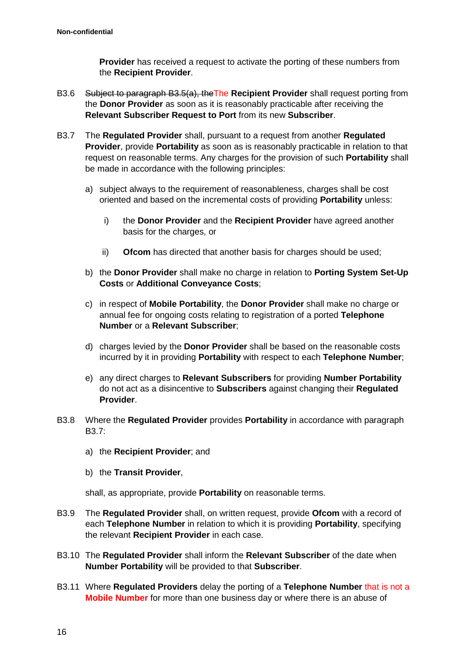**Provider** has received a request to activate the porting of these numbers from the **Recipient Provider**.

- B3.6 Subject to paragraph B3.5(a), theThe **Recipient Provider** shall request porting from the **Donor Provider** as soon as it is reasonably practicable after receiving the **Relevant Subscriber Request to Port** from its new **Subscriber**.
- B3.7 The **Regulated Provider** shall, pursuant to a request from another **Regulated Provider**, provide **Portability** as soon as is reasonably practicable in relation to that request on reasonable terms. Any charges for the provision of such **Portability** shall be made in accordance with the following principles:
	- a) subject always to the requirement of reasonableness, charges shall be cost oriented and based on the incremental costs of providing **Portability** unless:
		- i) the **Donor Provider** and the **Recipient Provider** have agreed another basis for the charges, or
		- ii) **Ofcom** has directed that another basis for charges should be used;
	- b) the **Donor Provider** shall make no charge in relation to **Porting System Set-Up Costs** or **Additional Conveyance Costs**;
	- c) in respect of **Mobile Portability**, the **Donor Provider** shall make no charge or annual fee for ongoing costs relating to registration of a ported **Telephone Number** or a **Relevant Subscriber**;
	- d) charges levied by the **Donor Provider** shall be based on the reasonable costs incurred by it in providing **Portability** with respect to each **Telephone Number**;
	- e) any direct charges to **Relevant Subscribers** for providing **Number Portability** do not act as a disincentive to **Subscribers** against changing their **Regulated Provider**.
- B3.8 Where the **Regulated Provider** provides **Portability** in accordance with paragraph B3.7:
	- a) the **Recipient Provider**; and
	- b) the **Transit Provider**,

shall, as appropriate, provide **Portability** on reasonable terms.

- B3.9 The **Regulated Provider** shall, on written request, provide **Ofcom** with a record of each **Telephone Number** in relation to which it is providing **Portability**, specifying the relevant **Recipient Provider** in each case.
- B3.10 The **Regulated Provider** shall inform the **Relevant Subscriber** of the date when **Number Portability** will be provided to that **Subscriber**.
- B3.11 Where **Regulated Providers** delay the porting of a **Telephone Number** that is not a **Mobile Number** for more than one business day or where there is an abuse of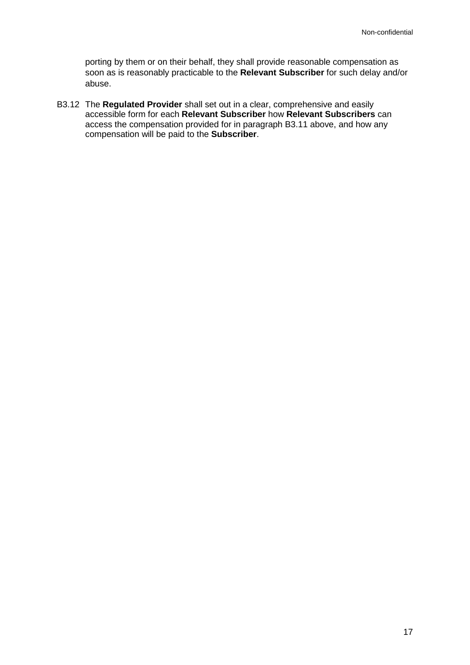porting by them or on their behalf, they shall provide reasonable compensation as soon as is reasonably practicable to the **Relevant Subscriber** for such delay and/or abuse.

B3.12 The **Regulated Provider** shall set out in a clear, comprehensive and easily accessible form for each **Relevant Subscriber** how **Relevant Subscribers** can access the compensation provided for in paragraph B3.11 above, and how any compensation will be paid to the **Subscriber**.